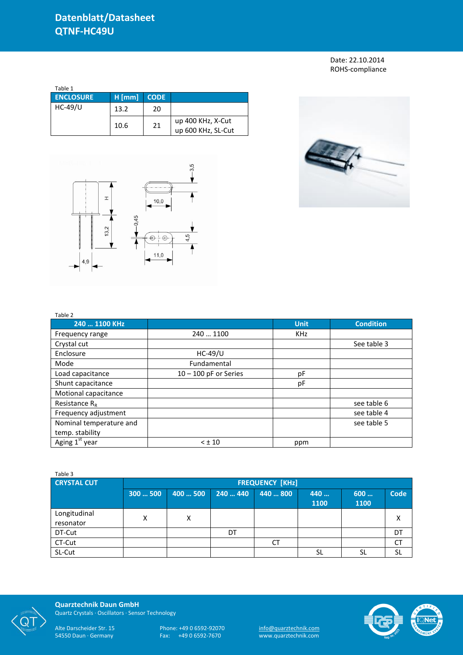## Date: 22.10.2014 ROHS-compliance

| Table 1          |          |             |                                         |
|------------------|----------|-------------|-----------------------------------------|
| <b>ENCLOSURE</b> | $H$ [mm] | <b>CODE</b> |                                         |
| $HC-49/U$        | 13.2     | 20          |                                         |
|                  | 10.6     | 21          | up 400 KHz, X-Cut<br>up 600 KHz, SL-Cut |



Table 2



| 240  1100 KHz           |                         | <b>Unit</b> | <b>Condition</b> |
|-------------------------|-------------------------|-------------|------------------|
| Frequency range         | 240  1100               | <b>KHz</b>  |                  |
| Crystal cut             |                         |             | See table 3      |
| Enclosure               | $HC-49/U$               |             |                  |
| Mode                    | Fundamental             |             |                  |
| Load capacitance        | $10 - 100$ pF or Series | pF          |                  |
| Shunt capacitance       |                         | рF          |                  |
| Motional capacitance    |                         |             |                  |
| Resistance $R_{R}$      |                         |             | see table 6      |
| Frequency adjustment    |                         |             | see table 4      |
| Nominal temperature and |                         |             | see table 5      |
| temp. stability         |                         |             |                  |
| Aging $1^{st}$ year     | $<$ $\pm$ 10            | ppm         |                  |

| Table 3                   |                        |          |          |          |             |             |      |
|---------------------------|------------------------|----------|----------|----------|-------------|-------------|------|
| <b>CRYSTAL CUT</b>        | <b>FREQUENCY [KHz]</b> |          |          |          |             |             |      |
|                           | 300500                 | 400  500 | 240  440 | 440  800 | 440<br>1100 | 600<br>1100 | Code |
| Longitudinal<br>resonator | Χ                      | х        |          |          |             |             | Χ    |
| DT-Cut                    |                        |          | DT       |          |             |             | DT   |
| CT-Cut                    |                        |          |          | СT       |             |             | CT   |
| SL-Cut                    |                        |          |          |          | <b>SL</b>   | SL          | SL   |



**Quarztechnik Daun GmbH** Quartz Crystals · Oscillators · Sensor Technology

Alte Darscheider Str. 15 Phone: +49 0 6592-92070 <u>info@quarztechnik.com</u>

54550 Daun · Germany Fax: +49 0 6592-7670 www.quarztechnik.com